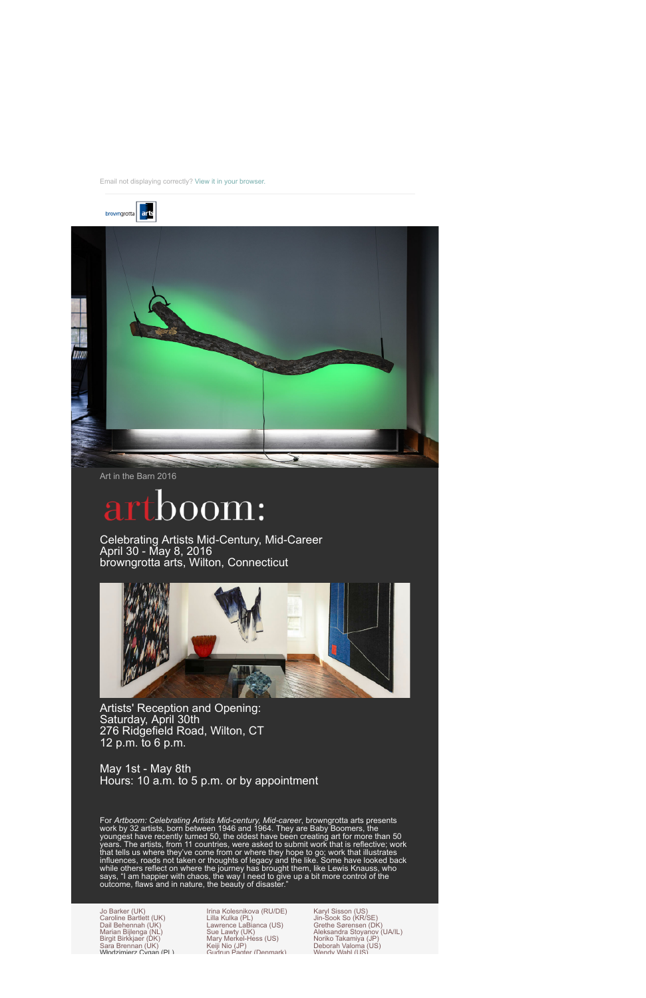browngrotta arts



Art in the Barn 2016

## 000m:

Celebrating Artists Mid-Century, Mid-Career April 30 - May 8, 2016 browngrotta arts, Wilton, Connecticut



Artists' Reception and Opening: Saturday, April 30th 276 Ridgefield Road, Wilton, CT 12 p.m. to 6 p.m.

May 1st - May 8th Hours: 10 a.m. to 5 p.m. or by appointment

For *Artboom: Celebrating Artists Mid-century, Mid-career*, browngrotta arts presents work by 32 artists, born between 1946 and 1964. They are Baby Boomers, the youngest have recently turned 50, the oldest have been creating art for more than 50 years. The artists, from 11 countries, were asked to submit work that is reflective; work that tells us where they've come from or where they hope to go; work that illustrates influences, roads not taken or thoughts of legacy and the like. Some have looked back while others reflect on where the journey has brought them, like Lewis Knauss, who says, "I am happier with chaos, the way I need to give up a bit more control of the outcome, flaws and in nature, the beauty of disaster."

Jo Barker (UK) Caroline Bartlett (UK) Dail Behennah (UK) Marian Bijlenga (NL) Birgit Birkkjaer (DK) Sara Brennan (ÙK)<br>Włodzimierz Cygan (PL) Włodzimierz

Irina Kolesnikova (RU/DE) Lilla Kulka (PL) Lawrence LaBianca (US) Sue Lawty (UK) Mary Merkel-Hess (US) Keiji Nio (JP) Gudrun Pagter (Denmark)

Karyl Sisson (US) Jin-Sook So (KR/SE) Grethe Sørensen (DK) Aleksandra Stoyanov (UA/IL) Noriko Takamiya (JP) Deborah Valoma (US) Wendy Wahl (US)